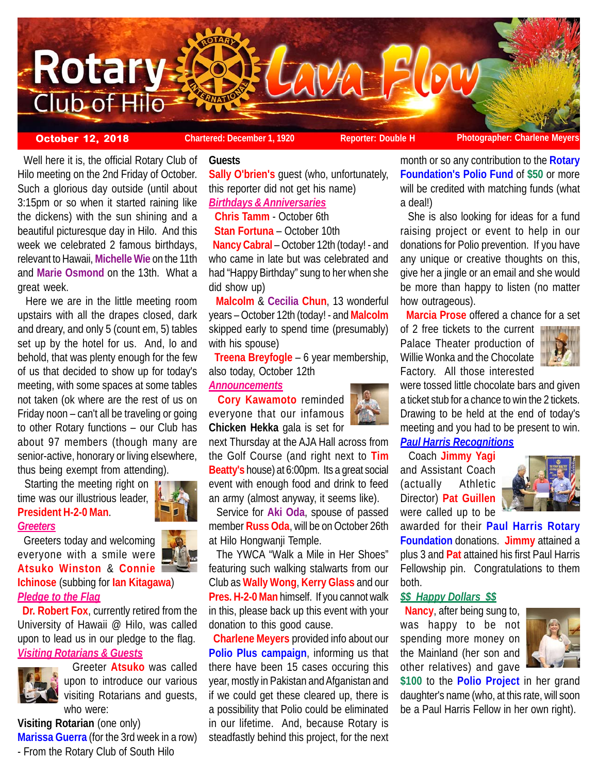

 Well here it is, the official Rotary Club of Hilo meeting on the 2nd Friday of October. Such a glorious day outside (until about 3:15pm or so when it started raining like the dickens) with the sun shining and a beautiful picturesque day in Hilo. And this week we celebrated 2 famous birthdays, relevant to Hawaii, **Michelle Wie** on the 11th and **Marie Osmond** on the 13th. What a great week.

 Here we are in the little meeting room upstairs with all the drapes closed, dark and dreary, and only 5 (count em, 5) tables set up by the hotel for us. And, lo and behold, that was plenty enough for the few of us that decided to show up for today's meeting, with some spaces at some tables not taken (ok where are the rest of us on Friday noon – can't all be traveling or going to other Rotary functions – our Club has about 97 members (though many are senior-active, honorary or living elsewhere, thus being exempt from attending).

Starting the meeting right on **V** time was our illustrious leader, **President H-2-0 Man**.

#### *Greeters*

 Greeters today and welcoming everyone with a smile were **Atsuko Winston** & **Connie**

# **Ichinose** (subbing for **Ian Kitagawa**) *Pledge to the Flag*

 **Dr. Robert Fox**, currently retired from the University of Hawaii @ Hilo, was called upon to lead us in our pledge to the flag. *Visiting Rotarians & Guests*



 Greeter **Atsuko** was called upon to introduce our various visiting Rotarians and guests, who were:

**Visiting Rotarian** (one only) **Marissa Guerra** (for the 3rd week in a row) - From the Rotary Club of South Hilo

# **Guests**

**Sally O'brien's** guest (who, unfortunately, this reporter did not get his name)

# *Birthdays & Anniversaries*

**Chris Tamm** - October 6th

**Stan Fortuna** – October 10th

 **Nancy Cabral** – October 12th (today! - and who came in late but was celebrated and had "Happy Birthday" sung to her when she did show up)

 **Malcolm** & **Cecilia Chun**, 13 wonderful years – October 12th (today! - and **Malcolm** skipped early to spend time (presumably) with his spouse)

 **Treena Breyfogle** – 6 year membership, also today, October 12th

# *Announcements*

 **Cory Kawamoto** reminded everyone that our infamous **Chicken Hekka** gala is set for

next Thursday at the AJA Hall across from the Golf Course (and right next to **Tim Beatty's** house) at 6:00pm. Its a great social event with enough food and drink to feed an army (almost anyway, it seems like).

 Service for **Aki Oda**, spouse of passed member **Russ Oda**, will be on October 26th at Hilo Hongwanji Temple.

 The YWCA "Walk a Mile in Her Shoes" featuring such walking stalwarts from our Club as **Wally Wong**, **Kerry Glass** and our **Pres. H-2-0 Man** himself. If you cannot walk in this, please back up this event with your donation to this good cause.

 **Charlene Meyers** provided info about our **Polio Plus campaign**, informing us that there have been 15 cases occuring this year, mostly in Pakistan and Afganistan and if we could get these cleared up, there is a possibility that Polio could be eliminated in our lifetime. And, because Rotary is steadfastly behind this project, for the next month or so any contribution to the **Rotary Foundation's Polio Fund** of **\$50** or more will be credited with matching funds (what a deal!)

 She is also looking for ideas for a fund raising project or event to help in our donations for Polio prevention. If you have any unique or creative thoughts on this, give her a jingle or an email and she would be more than happy to listen (no matter how outrageous).

**Marcia Prose** offered a chance for a set

of 2 free tickets to the current Palace Theater production of Willie Wonka and the Chocolate Factory. All those interested



were tossed little chocolate bars and given a ticket stub for a chance to win the 2 tickets. Drawing to be held at the end of today's meeting and you had to be present to win.

# *Paul Harris Recognitions*

 Coach **Jimmy Yagi** and Assistant Coach (actually Athletic Director) **Pat Guillen** were called up to be



awarded for their **Paul Harris Rotary Foundation** donations. **Jimmy** attained a plus 3 and **Pat** attained his first Paul Harris Fellowship pin. Congratulations to them both.

# *\$\$ Happy Dollars \$\$*

 **Nancy**, after being sung to, was happy to be not spending more money on the Mainland (her son and other relatives) and gave



**\$100** to the **Polio Project** in her grand daughter's name (who, at this rate, will soon be a Paul Harris Fellow in her own right).



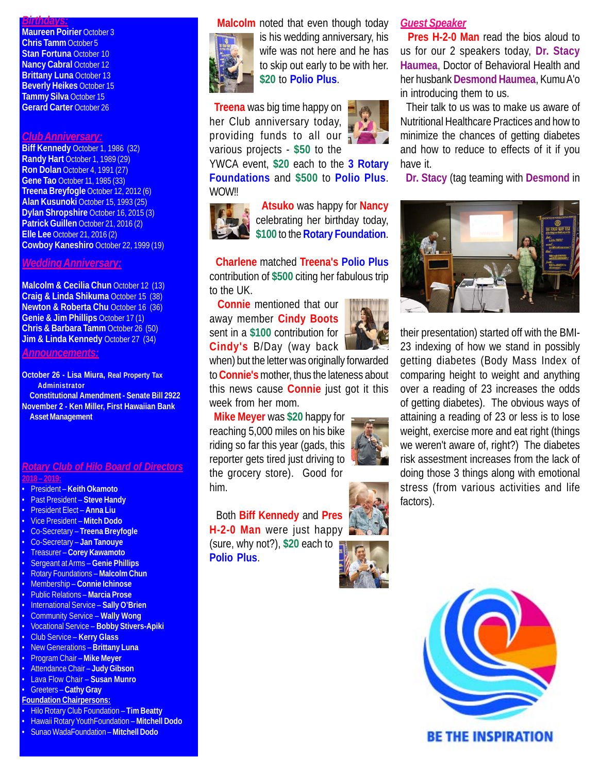# *Birthdays:*

**Maureen Poirier October 3 Chris Tamm** October 5 **Stan Fortuna** October 10 **Nancy Cabral October 12 Brittany Luna** October 13 **Beverly Heikes** October 15 **Tammy Silva** October 15 **Gerard Carter** October 26

#### *Club Anniversary:*

**Biff Kennedy** October 1, 1986 (32) **Randy Hart** October 1, 1989 (29) **Ron Dolan** October 4, 1991 (27) **Gene Tao** October 11, 1985 (33) **Treena Breyfogle** October 12, 2012 (6) **Alan Kusunoki** October 15, 1993 (25) **Dylan Shropshire** October 16, 2015 (3) **Patrick Guillen** October 21, 2016 (2) **Elle Lee** October 21, 2016 (2) **Cowboy Kaneshiro** October 22, 1999 (19)

# *Wedding Anniversary:*

**Malcolm & Cecilia Chun** October 12 (13) **Craig & Linda Shikuma** October 15 (38) **Newton & Roberta Chu October 16 (36) Genie & Jim Phillips** October 17 (1) **Chris & Barbara Tamm** October 26 (50) **Jim & Linda Kennedy October 27 (34)** 

*Announcements:*

**October 26 - Lisa Miura, Real Property Tax Administrator Constitutional Amendment - Senate Bill 2922 November 2 - Ken Miller, First Hawaiian Bank Asset Management**

### *Rotary Club of Hilo Board of Directors* **2018 – 2019:**

- President **Keith Okamoto**
- Past President **Steve Handy**
- President Elect **Anna Liu**
- Vice President **Mitch Dodo**
- Co-Secretary **Treena Breyfogle**
- Co-Secretary **Jan Tanouye**
- Treasurer **Corey Kawamoto**
- Sergeant at Arms – **Genie Phillips**
- Rotary Foundations **Malcolm Chun**
- Membership **Connie Ichinose**
- Public Relations **Marcia Prose**
- International Service **Sally O'Brien**
- Community Service **Wally Wong**
- Vocational Service **Bobby Stivers-Apiki**
- Club Service **Kerry Glass**
- New Generations **Brittany Luna** • Program Chair – **Mike Meyer**
- Attendance Chair **Judy Gibson**
- Lava Flow Chair **Susan Munro**
- Greeters **Cathy Gray**
- **Foundation Chairpersons:**
- Hilo Rotary Club Foundation **Tim Beatty**
- 
- Hawaii Rotary YouthFoundation **Mitchell Dodo**
- Sunao WadaFoundation **Mitchell Dodo**





is his wedding anniversary, his wife was not here and he has to skip out early to be with her. **\$20** to **Polio Plus**.

 **Treena** was big time happy on her Club anniversary today, providing funds to all our various projects - **\$50** to the

YWCA event, **\$20** each to the **3 Rotary Foundations** and **\$500** to **Polio Plus**. WOW!!



 **Atsuko** was happy for **Nancy** celebrating her birthday today, **\$100** to the **Rotary Foundation**.

 **Charlene** matched **Treena's Polio Plus** contribution of **\$500** citing her fabulous trip to the UK.

 **Connie** mentioned that our away member **Cindy Boots** sent in a **\$100** contribution for **Cindy's** B/Day (way back

when) but the letter was originally forwarded to **Connie's** mother, thus the lateness about this news cause **Connie** just got it this week from her mom.

 **Mike Meyer** was **\$20** happy for reaching 5,000 miles on his bike riding so far this year (gads, this reporter gets tired just driving to the grocery store). Good for him.

Both **Biff Kennedy** and **Pres**

**H-2-0 Man** were just happy (sure, why not?), **\$20** each to **Polio Plus**.



# *Guest Speaker*

 **Pres H-2-0 Man** read the bios aloud to us for our 2 speakers today, **Dr. Stacy Haumea**, Doctor of Behavioral Health and her husbank **Desmond Haumea**, Kumu A'o in introducing them to us.

 Their talk to us was to make us aware of Nutritional Healthcare Practices and how to minimize the chances of getting diabetes and how to reduce to effects of it if you have it.

**Dr. Stacy** (tag teaming with **Desmond** in



their presentation) started off with the BMI-23 indexing of how we stand in possibly getting diabetes (Body Mass Index of comparing height to weight and anything over a reading of 23 increases the odds of getting diabetes). The obvious ways of attaining a reading of 23 or less is to lose weight, exercise more and eat right (things we weren't aware of, right?) The diabetes risk assestment increases from the lack of doing those 3 things along with emotional stress (from various activities and life factors).



**BE THE INSPIRATION**